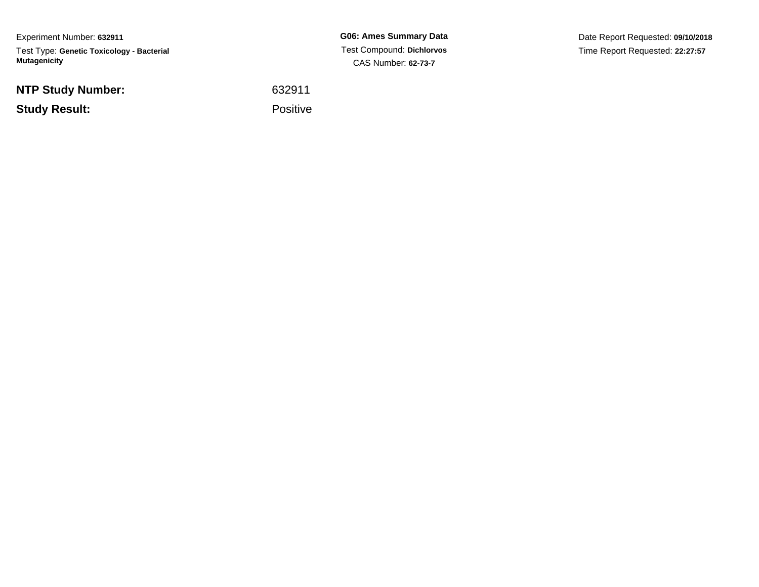Experiment Number: **632911**Test Type: **Genetic Toxicology - Bacterial Mutagenicity**

**NTP Study Number:**

**Study Result:**

**G06: Ames Summary Data** Test Compound: **Dichlorvos**CAS Number: **62-73-7**

Date Report Requested: **09/10/2018**Time Report Requested: **22:27:57**

 <sup>632911</sup>Positive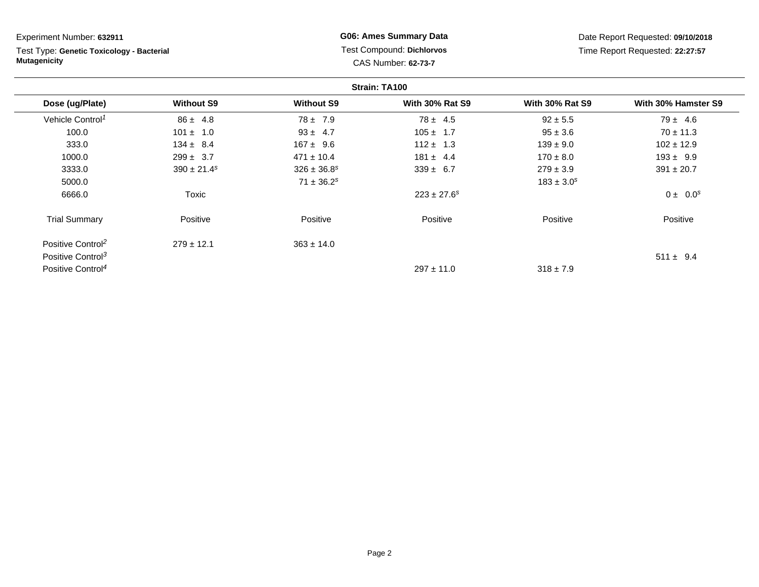**Strain: TA100Dose (ug/Plate) Without S9 Without S9 With 30% Rat S9 With 30% Rat S9 With 30% Hamster S9** Vehicle Control<sup>1</sup>  $86 \pm 4.8$ 8  $78 \pm 7.9$   $78 \pm 4.5$   $92 \pm 5.5$   $79 \pm 4.6$ 100.00 101 ± 1.0  $93 \pm 4.7$  105 ± 1.7  $95 \pm 3.6$  70 ± 11.3 333.00 134 ± 8.4 167 ± 9.6 112 ± 1.3 139 ± 9.0 102 ± 12.9 1000.0 299 ± 3.7 471 ± 10.4 181 ± 4.4 170 ± 8.0 193 ± 9.9 Experiment Number: **632911**Test Type: **Genetic Toxicology - BacterialMutagenicityG06: Ames Summary Data** Test Compound: **Dichlorvos**CAS Number: **62-73-7**Date Report Requested: **09/10/2018**Time Report Requested: **22:27:57**

0  $71 \pm 36.2^s$   $183 \pm 3.0^s$ 

 $363 \pm 14.0$ 

 $390 \pm 21.4^s$   $326 \pm 36.8^s$   $339 \pm 6.7$   $279 \pm 3.9$   $391 \pm 20.7$ 

0  $0 \pm 0.0^{\circ}$   $0 \pm 0.0^{\circ}$ 

 $\frac{3}{3}$  511 ± 9.4

Positive Positive Positive Positive

 $318 \pm 7.9$ 

 $297 \pm 11.0$ 

3333.0

5000.0

6666.0

Trial Summary

Positive Control<sup>2</sup>

Positive Control<sup>3</sup>

Positive Control<sup>4</sup>

Positive

 $279 \pm 12.1$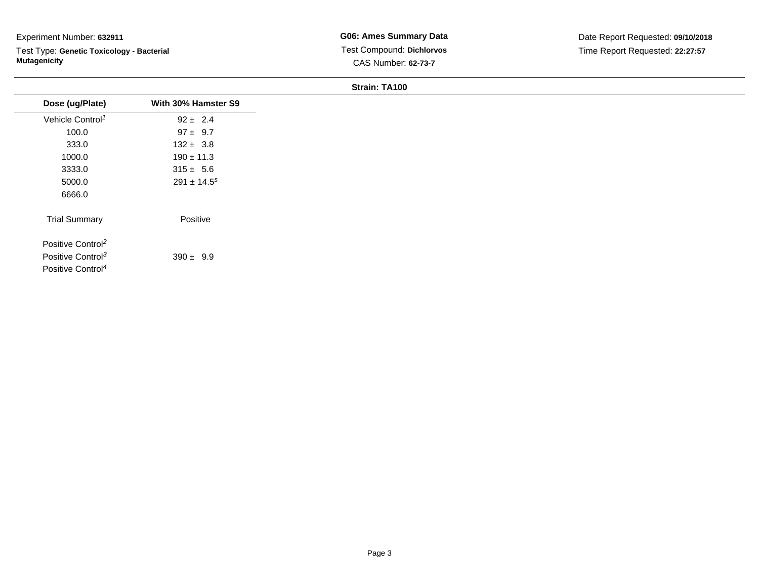## Experiment Number: **632911**

Test Type: **Genetic Toxicology - Bacterial Mutagenicity**

**G06: Ames Summary Data** Test Compound: **Dichlorvos**CAS Number: **62-73-7**

Date Report Requested: **09/10/2018**Time Report Requested: **22:27:57**

## **Strain: TA100**

| Dose (ug/Plate)               | With 30% Hamster S9 |
|-------------------------------|---------------------|
| Vehicle Control <sup>1</sup>  | $92 \pm 2.4$        |
| 100.0                         | $97 \pm 9.7$        |
| 333.0                         | $132 \pm 3.8$       |
| 1000.0                        | $190 \pm 11.3$      |
| 3333.0                        | $315 \pm 5.6$       |
| 5000.0                        | $291 \pm 14.5^s$    |
| 6666.0                        |                     |
| <b>Trial Summary</b>          | Positive            |
| Positive Control <sup>2</sup> |                     |
| Positive Control <sup>3</sup> | $390 \pm 9.9$       |
| Positive Control <sup>4</sup> |                     |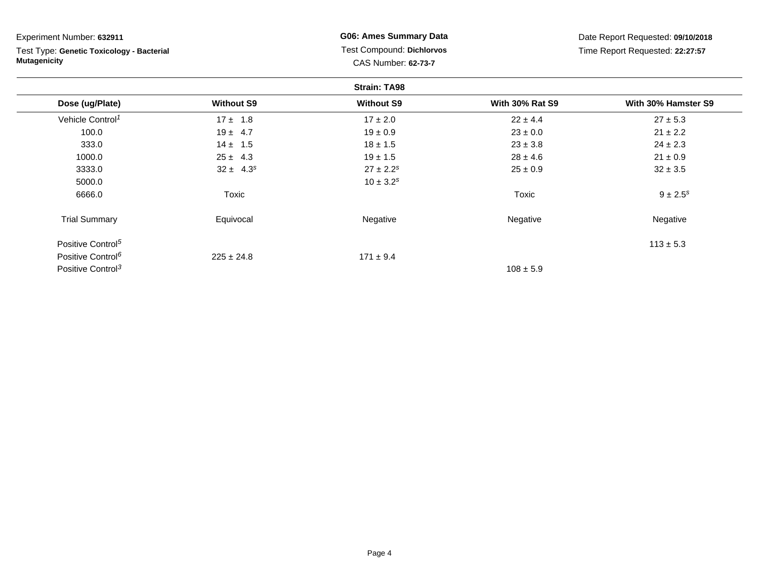| Experiment Number: 632911                 |                   | <b>G06: Ames Summary Data</b><br>Test Compound: Dichlorvos<br><b>CAS Number: 62-73-7</b> |                        | Date Report Requested: 09/10/2018<br>Time Report Requested: 22:27:57 |  |
|-------------------------------------------|-------------------|------------------------------------------------------------------------------------------|------------------------|----------------------------------------------------------------------|--|
| Test Type: Genetic Toxicology - Bacterial |                   |                                                                                          |                        |                                                                      |  |
| <b>Mutagenicity</b>                       |                   |                                                                                          |                        |                                                                      |  |
|                                           |                   | <b>Strain: TA98</b>                                                                      |                        |                                                                      |  |
| Dose (ug/Plate)                           | <b>Without S9</b> | <b>Without S9</b>                                                                        | <b>With 30% Rat S9</b> | With 30% Hamster S9                                                  |  |
| Vehicle Control <sup>1</sup>              | $17 \pm 1.8$      | $17 \pm 2.0$                                                                             | $22 \pm 4.4$           | $27 \pm 5.3$                                                         |  |
| 100.0                                     | $19 \pm 4.7$      | $19 \pm 0.9$                                                                             | $23 \pm 0.0$           | $21 \pm 2.2$                                                         |  |
| 333.0                                     | $14 \pm 1.5$      | $18 \pm 1.5$                                                                             | $23 \pm 3.8$           | $24 \pm 2.3$                                                         |  |
| 1000.0                                    | $25 \pm 4.3$      | $19 \pm 1.5$                                                                             | $28 \pm 4.6$           | $21 \pm 0.9$                                                         |  |
| 3333.0                                    | $32 \pm 4.3^s$    | $27 \pm 2.2^s$                                                                           | $25 \pm 0.9$           | $32 \pm 3.5$                                                         |  |
| 5000.0                                    |                   | $10 \pm 3.2^s$                                                                           |                        |                                                                      |  |
| 6666.0                                    | Toxic             |                                                                                          | Toxic                  | $9 \pm 2.5^s$                                                        |  |
| <b>Trial Summary</b>                      | Equivocal         | Negative                                                                                 | Negative               | Negative                                                             |  |
| Positive Control <sup>5</sup>             |                   |                                                                                          |                        | $113 \pm 5.3$                                                        |  |
| Positive Control <sup>6</sup>             | $225 \pm 24.8$    | $171 \pm 9.4$                                                                            |                        |                                                                      |  |
| Positive Control <sup>3</sup>             |                   |                                                                                          | $108 \pm 5.9$          |                                                                      |  |